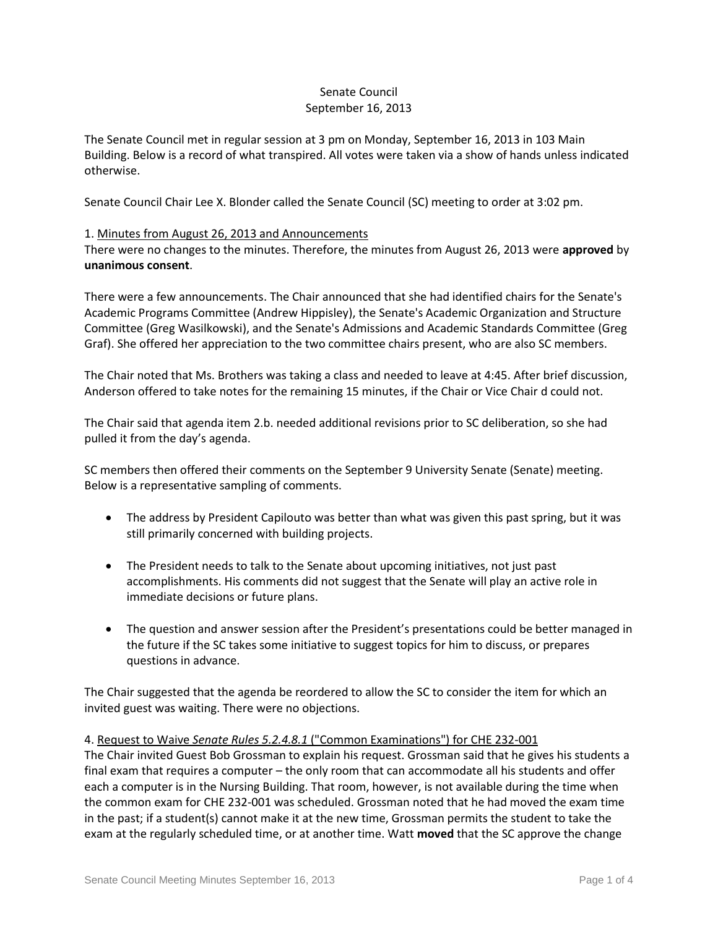# Senate Council September 16, 2013

The Senate Council met in regular session at 3 pm on Monday, September 16, 2013 in 103 Main Building. Below is a record of what transpired. All votes were taken via a show of hands unless indicated otherwise.

Senate Council Chair Lee X. Blonder called the Senate Council (SC) meeting to order at 3:02 pm.

### 1. Minutes from August 26, 2013 and Announcements

There were no changes to the minutes. Therefore, the minutes from August 26, 2013 were **approved** by **unanimous consent**.

There were a few announcements. The Chair announced that she had identified chairs for the Senate's Academic Programs Committee (Andrew Hippisley), the Senate's Academic Organization and Structure Committee (Greg Wasilkowski), and the Senate's Admissions and Academic Standards Committee (Greg Graf). She offered her appreciation to the two committee chairs present, who are also SC members.

The Chair noted that Ms. Brothers was taking a class and needed to leave at 4:45. After brief discussion, Anderson offered to take notes for the remaining 15 minutes, if the Chair or Vice Chair d could not.

The Chair said that agenda item 2.b. needed additional revisions prior to SC deliberation, so she had pulled it from the day's agenda.

SC members then offered their comments on the September 9 University Senate (Senate) meeting. Below is a representative sampling of comments.

- The address by President Capilouto was better than what was given this past spring, but it was still primarily concerned with building projects.
- The President needs to talk to the Senate about upcoming initiatives, not just past accomplishments. His comments did not suggest that the Senate will play an active role in immediate decisions or future plans.
- The question and answer session after the President's presentations could be better managed in the future if the SC takes some initiative to suggest topics for him to discuss, or prepares questions in advance.

The Chair suggested that the agenda be reordered to allow the SC to consider the item for which an invited guest was waiting. There were no objections.

#### 4. Request to Waive *Senate Rules 5.2.4.8.1* ("Common Examinations") for CHE 232-001

The Chair invited Guest Bob Grossman to explain his request. Grossman said that he gives his students a final exam that requires a computer – the only room that can accommodate all his students and offer each a computer is in the Nursing Building. That room, however, is not available during the time when the common exam for CHE 232-001 was scheduled. Grossman noted that he had moved the exam time in the past; if a student(s) cannot make it at the new time, Grossman permits the student to take the exam at the regularly scheduled time, or at another time. Watt **moved** that the SC approve the change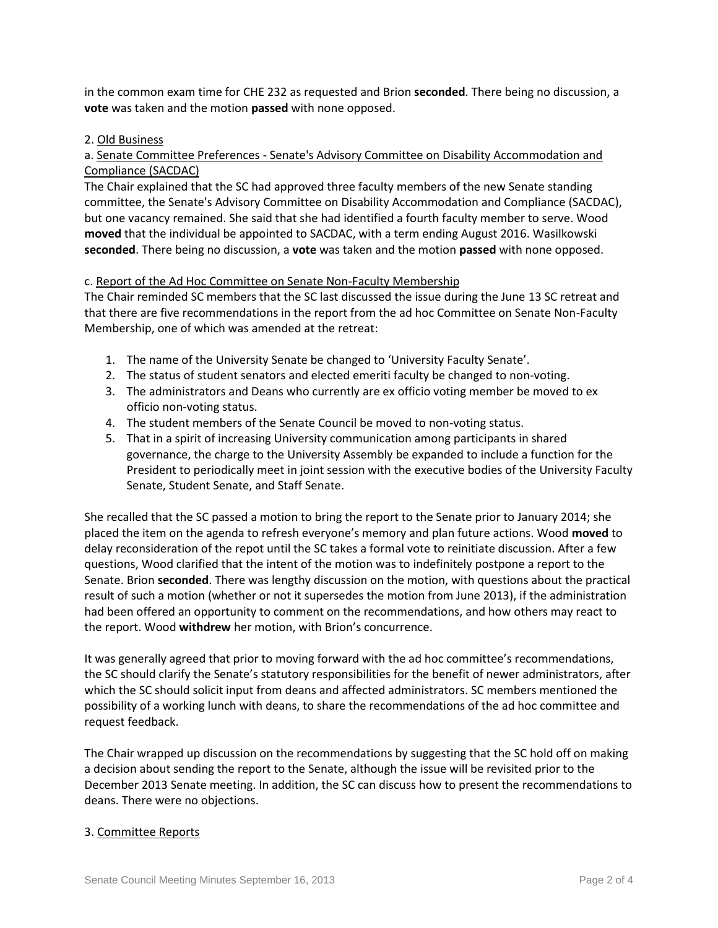in the common exam time for CHE 232 as requested and Brion **seconded**. There being no discussion, a **vote** was taken and the motion **passed** with none opposed.

### 2. Old Business

# a. Senate Committee Preferences - Senate's Advisory Committee on Disability Accommodation and Compliance (SACDAC)

The Chair explained that the SC had approved three faculty members of the new Senate standing committee, the Senate's Advisory Committee on Disability Accommodation and Compliance (SACDAC), but one vacancy remained. She said that she had identified a fourth faculty member to serve. Wood **moved** that the individual be appointed to SACDAC, with a term ending August 2016. Wasilkowski **seconded**. There being no discussion, a **vote** was taken and the motion **passed** with none opposed.

### c. Report of the Ad Hoc Committee on Senate Non-Faculty Membership

The Chair reminded SC members that the SC last discussed the issue during the June 13 SC retreat and that there are five recommendations in the report from the ad hoc Committee on Senate Non-Faculty Membership, one of which was amended at the retreat:

- 1. The name of the University Senate be changed to 'University Faculty Senate'.
- 2. The status of student senators and elected emeriti faculty be changed to non-voting.
- 3. The administrators and Deans who currently are ex officio voting member be moved to ex officio non-voting status.
- 4. The student members of the Senate Council be moved to non-voting status.
- 5. That in a spirit of increasing University communication among participants in shared governance, the charge to the University Assembly be expanded to include a function for the President to periodically meet in joint session with the executive bodies of the University Faculty Senate, Student Senate, and Staff Senate.

She recalled that the SC passed a motion to bring the report to the Senate prior to January 2014; she placed the item on the agenda to refresh everyone's memory and plan future actions. Wood **moved** to delay reconsideration of the repot until the SC takes a formal vote to reinitiate discussion. After a few questions, Wood clarified that the intent of the motion was to indefinitely postpone a report to the Senate. Brion **seconded**. There was lengthy discussion on the motion, with questions about the practical result of such a motion (whether or not it supersedes the motion from June 2013), if the administration had been offered an opportunity to comment on the recommendations, and how others may react to the report. Wood **withdrew** her motion, with Brion's concurrence.

It was generally agreed that prior to moving forward with the ad hoc committee's recommendations, the SC should clarify the Senate's statutory responsibilities for the benefit of newer administrators, after which the SC should solicit input from deans and affected administrators. SC members mentioned the possibility of a working lunch with deans, to share the recommendations of the ad hoc committee and request feedback.

The Chair wrapped up discussion on the recommendations by suggesting that the SC hold off on making a decision about sending the report to the Senate, although the issue will be revisited prior to the December 2013 Senate meeting. In addition, the SC can discuss how to present the recommendations to deans. There were no objections.

## 3. Committee Reports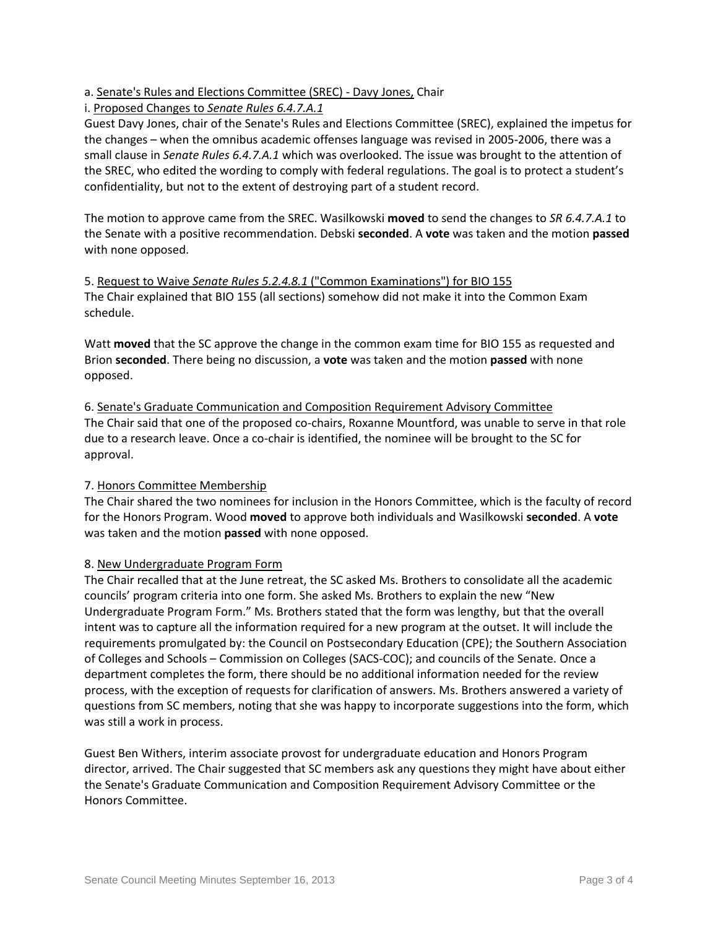a. Senate's Rules and Elections Committee (SREC) - Davy Jones, Chair

i. Proposed Changes to *Senate Rules 6.4.7.A.1*

Guest Davy Jones, chair of the Senate's Rules and Elections Committee (SREC), explained the impetus for the changes – when the omnibus academic offenses language was revised in 2005-2006, there was a small clause in *Senate Rules 6.4.7.A.1* which was overlooked. The issue was brought to the attention of the SREC, who edited the wording to comply with federal regulations. The goal is to protect a student's confidentiality, but not to the extent of destroying part of a student record.

The motion to approve came from the SREC. Wasilkowski **moved** to send the changes to *SR 6.4.7.A.1* to the Senate with a positive recommendation. Debski **seconded**. A **vote** was taken and the motion **passed** with none opposed.

5. Request to Waive *Senate Rules 5.2.4.8.1* ("Common Examinations") for BIO 155 The Chair explained that BIO 155 (all sections) somehow did not make it into the Common Exam schedule.

Watt **moved** that the SC approve the change in the common exam time for BIO 155 as requested and Brion **seconded**. There being no discussion, a **vote** was taken and the motion **passed** with none opposed.

6. Senate's Graduate Communication and Composition Requirement Advisory Committee The Chair said that one of the proposed co-chairs, Roxanne Mountford, was unable to serve in that role due to a research leave. Once a co-chair is identified, the nominee will be brought to the SC for approval.

## 7. Honors Committee Membership

The Chair shared the two nominees for inclusion in the Honors Committee, which is the faculty of record for the Honors Program. Wood **moved** to approve both individuals and Wasilkowski **seconded**. A **vote** was taken and the motion **passed** with none opposed.

## 8. New Undergraduate Program Form

The Chair recalled that at the June retreat, the SC asked Ms. Brothers to consolidate all the academic councils' program criteria into one form. She asked Ms. Brothers to explain the new "New Undergraduate Program Form." Ms. Brothers stated that the form was lengthy, but that the overall intent was to capture all the information required for a new program at the outset. It will include the requirements promulgated by: the Council on Postsecondary Education (CPE); the Southern Association of Colleges and Schools – Commission on Colleges (SACS-COC); and councils of the Senate. Once a department completes the form, there should be no additional information needed for the review process, with the exception of requests for clarification of answers. Ms. Brothers answered a variety of questions from SC members, noting that she was happy to incorporate suggestions into the form, which was still a work in process.

Guest Ben Withers, interim associate provost for undergraduate education and Honors Program director, arrived. The Chair suggested that SC members ask any questions they might have about either the Senate's Graduate Communication and Composition Requirement Advisory Committee or the Honors Committee.